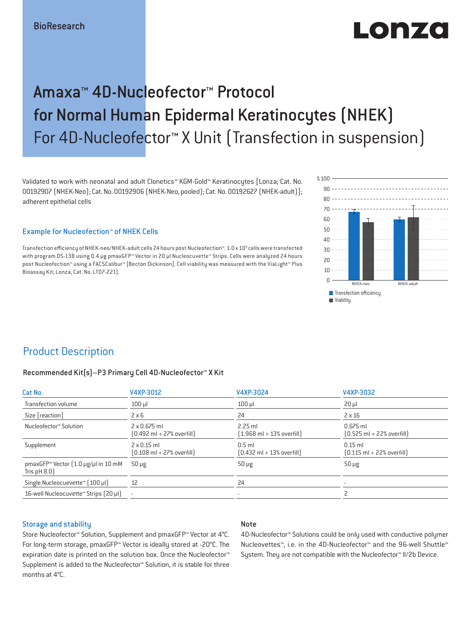# $\blacksquare$  $\blacksquare$

## Amaxa™ 4D-Nucleofector™ Protocol for Normal Human Epidermal Keratinocytes (NHEK) For 4D-Nucleofector™ X Unit (Transfection in suspension)

Validated to work with neonatal and adult Clonetics™ KGM-Gold™ Keratinocytes [Lonza; Cat. No. 00192907 (NHEK-Neo); Cat. No. 00192906 (NHEK-Neo, pooled); Cat. No. 00192627 (NHEK-adult)]; adherent epithelial cells

#### Example for Nucleofection™ of NHEK Cells

Transfection efficiency of NHEK-neo/NHEK-adult cells 24 hours post Nucleofection™. 1.0 x 10<sup>5</sup> cells were transfected with program DS-138 using 0.4 μg pmaxGFP™ Vector in 20 μl Nucleocuvette™ Strips. Cells were analyzed 24 hours post Nucleofection™ using a FACSCalibur™ [Becton Dickinson]. Cell viability was measured with the ViaLight™ Plus Bioassay Kit; Lonza, Cat. No. LT07-221).



## Product Description

#### Recommended Kit(s)–P3 Primary Cell 4D-Nucleofector™ X Kit

| Cat No.                                                          | V4XP-3012                                                           | V4XP-3024                                                 | V4XP-3032                                                  |
|------------------------------------------------------------------|---------------------------------------------------------------------|-----------------------------------------------------------|------------------------------------------------------------|
| Transfection volume                                              | $100$ $\mu$                                                         | $100$ $\mu$                                               | $20 \mu$                                                   |
| Size [reaction]                                                  | $2 \times 6$                                                        | 24                                                        | $2 \times 16$                                              |
| Nucleofector™ Solution                                           | $2 \times 0.675$ ml<br>$[0.492 \text{ ml} + 27\% \text{ overfill}]$ | $2.25$ ml<br>$[1.968 \text{ ml} + 13\% \text{ overfill}]$ | $0.675$ ml<br>$[0.525 \text{ ml} + 22\% \text{ overfill}]$ |
| Supplement                                                       | $2 \times 0.15$ ml<br>$[0.108 \text{ ml} + 27\% \text{ overfill}]$  | $0.5$ ml<br>$[0.432 \text{ ml} + 13\% \text{ overfill}]$  | $0.15$ ml<br>$[0.115 \text{ ml} + 22\% \text{ overfill}]$  |
| pmaxGFP <sup>™</sup> Vector (1.0 µg/µl in 10 mM<br>Tris $pH 8.0$ | $50 \mu g$                                                          | $50 \mu g$                                                | $50 \mu g$                                                 |
| Single Nucleocuevette™ [100 µl]                                  | 12                                                                  | 24                                                        |                                                            |
| 16-well Nucleocuvette™ Strips (20 µl)                            |                                                                     |                                                           |                                                            |
|                                                                  |                                                                     |                                                           |                                                            |

#### Storage and stability

#### Store Nucleofector™ Solution, Supplement and pmaxGFP™ Vector at 4°C. For long-term storage, pmaxGFP™ Vector is ideally stored at -20°C. The expiration date is printed on the solution box. Once the Nucleofector™ Supplement is added to the Nucleofector™ Solution, it is stable for three months at 4°C.

#### Note

4D-Nucleofector™ Solutions could be only used with conductive polymer Nucleovettes™, i.e. in the 4D-Nucleofector™ and the 96-well Shuttle™ System. They are not compatible with the Nucleofector™ II/2b Device.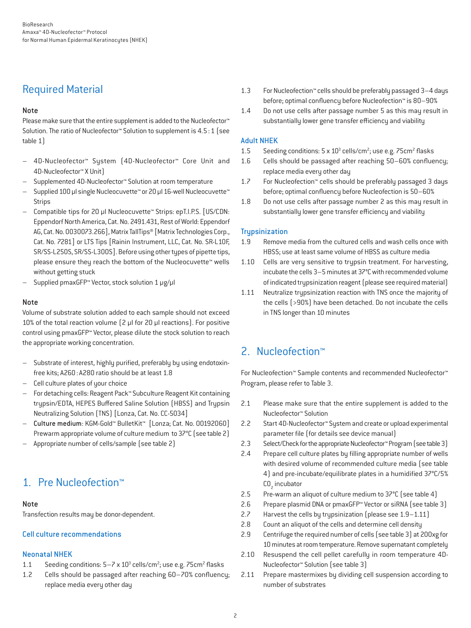## Required Material

#### Note

Please make sure that the entire supplement is added to the Nucleofector<sup>™</sup> Solution. The ratio of Nucleofector™ Solution to supplement is 4.5 : 1 (see table 1)

- 4D-Nucleofector™ System (4D-Nucleofector™ Core Unit and 4D-Nucleofector™ X Unit)
- Supplemented 4D-Nucleofector™ Solution at room temperature
- Supplied 100 µl single Nucleocuvette™ or 20 µl 16-well Nucleocuvette™ Strips
- Compatible tips for 20 µl Nucleocuvette™ Strips: epT.I.P.S. [US/CDN: Eppendorf North America, Cat. No. 2491.431, Rest of World: Eppendorf AG, Cat. No. 0030073.266], Matrix TallTips® [Matrix Technologies Corp., Cat. No. 7281] or LTS Tips [Rainin Instrument, LLC, Cat. No. SR-L10F, SR/SS-L250S, SR/SS-L300S]. Before using other types of pipette tips, please ensure they reach the bottom of the Nucleocuvette™ wells without getting stuck
- Supplied pmaxGFP™ Vector, stock solution 1 µg/µl

#### Note

Volume of substrate solution added to each sample should not exceed 10% of the total reaction volume (2 µl for 20 µl reactions). For positive control using pmaxGFP™ Vector, please dilute the stock solution to reach the appropriate working concentration.

- Substrate of interest, highly purified, preferably by using endotoxinfree kits; A260 : A280 ratio should be at least 1.8
- Cell culture plates of your choice
- For detaching cells: Reagent Pack™ Subculture Reagent Kit containing trypsin/EDTA, HEPES Buffered Saline Solution (HBSS) and Trypsin Neutralizing Solution (TNS) [Lonza, Cat. No. CC-5034]
- Culture medium: KGM-Gold™ BulletKit™ [Lonza; Cat. No. 00192060] Prewarm appropriate volume of culture medium to 37°C (see table 2)
- Appropriate number of cells/sample (see table 2)

## 1. Pre Nucleofection™

#### Note

Transfection results may be donor-dependent.

#### Cell culture recommendations

#### Neonatal NHEK

- 1.1 Seeding conditions:  $5-7 \times 10^3$  cells/cm<sup>2</sup>; use e.g.  $75 \text{cm}^2$  flasks
- 1.2 Cells should be passaged after reaching 60–70% confluency; replace media every other day
- 1.3 For Nucleofection™ cells should be preferably passaged 3–4 days before; optimal confluency before Nucleofection™ is 80–90%
- 1.4 Do not use cells after passage number 5 as this may result in substantially lower gene transfer efficiency and viability

#### Adult NHEK

- 1.5 Seeding conditions:  $5 \times 10^3$  cells/cm<sup>2</sup>; use e.g.  $75 \text{cm}^2$  flasks
- 1.6 Cells should be passaged after reaching 50–60% confluency; replace media every other day
- 1.7 For Nucleofection™ cells should be preferably passaged 3 days before; optimal confluency before Nucleofection is 50–60%
- 1.8 Do not use cells after passage number 2 as this may result in substantially lower gene transfer efficiency and viability

#### **Trypsinization**

- 1.9 Remove media from the cultured cells and wash cells once with HBSS; use at least same volume of HBSS as culture media
- 1.10 Cells are very sensitive to trypsin treatment. For harvesting, incubate the cells 3–5 minutes at 37°C with recommended volume of indicated trypsinization reagent (please see required material)
- 1.11 Neutralize trypsinization reaction with TNS once the majority of the cells (>90%) have been detached. Do not incubate the cells in TNS longer than 10 minutes

## 2. Nucleofection™

For Nucleofection™ Sample contents and recommended Nucleofector™ Program, please refer to Table 3.

- 2.1 Please make sure that the entire supplement is added to the Nucleofector™ Solution
- 2.2 Start 4D-Nucleofector™ System and create or upload experimental parameter file (for details see device manual)
- 2.3 Select/Check for the appropriate Nucleofector™ Program (see table 3)
- 2.4 Prepare cell culture plates by filling appropriate number of wells with desired volume of recommended culture media (see table 4) and pre-incubate/equilibrate plates in a humidified 37°C/5%  $CO<sub>2</sub>$  incubator
- 2.5 Pre-warm an aliquot of culture medium to 37°C (see table 4)
- 2.6 Prepare plasmid DNA or pmaxGFP™ Vector or siRNA (see table 3)
- 2.7 Harvest the cells by trypsinization (please see 1.9–1.11)
- 2.8 Count an aliquot of the cells and determine cell density
- 2.9 Centrifuge the required number of cells (see table 3) at 200xg for 10 minutes at room temperature. Remove supernatant completely
- 2.10 Resuspend the cell pellet carefully in room temperature 4D-Nucleofector™ Solution (see table 3)
- 2.11 Prepare mastermixes by dividing cell suspension according to number of substrates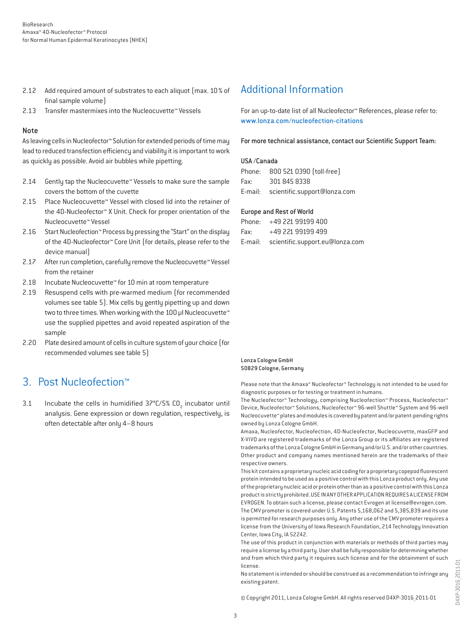- 2.12 Add required amount of substrates to each aliquot (max. 10 % of final sample volume)
- 2.13 Transfer mastermixes into the Nucleocuvette™ Vessels

#### Note

As leaving cells in Nucleofector™ Solution for extended periods of time may lead to reduced transfection efficiency and viability it is important to work as quickly as possible. Avoid air bubbles while pipetting.

- 2.14 Gently tap the Nucleocuvette™ Vessels to make sure the sample covers the bottom of the cuvette
- 2.15 Place Nucleocuvette™ Vessel with closed lid into the retainer of the 4D-Nucleofector™ X Unit. Check for proper orientation of the Nucleocuvette™ Vessel
- 2.16 Start Nucleofection™ Process by pressing the "Start" on the display of the 4D-Nucleofector™ Core Unit (for details, please refer to the device manual)
- 2.17 After run completion, carefully remove the Nucleocuvette™ Vessel from the retainer
- 2.18 Incubate Nucleocuvette™ for 10 min at room temperature
- 2.19 Resuspend cells with pre-warmed medium (for recommended volumes see table 5). Mix cells by gently pipetting up and down two to three times. When working with the 100 µl Nucleocuvette™ use the supplied pipettes and avoid repeated aspiration of the sample
- 2.20 Plate desired amount of cells in culture system of your choice (for recommended volumes see table 5)

## 3. Post Nucleofection™

3.1 Incubate the cells in humidified  $37^{\circ}$ C/5% CO<sub>2</sub> incubator until analysis. Gene expression or down regulation, respectively, is often detectable after only 4–8 hours

## Additional Information

For an up-to-date list of all Nucleofector™ References, please refer to: www.lonza.com/nucleofection-citations

For more technical assistance, contact our Scientific Support Team:

#### USA /Canada

|      | Phone: 800 521 0390 (toll-free)      |
|------|--------------------------------------|
| Fax: | 301 845 8338                         |
|      | E-mail: scientific.support@lonza.com |

#### Europe and Rest of World

|          | Phone: +49 221 99199 400                |
|----------|-----------------------------------------|
| Fax: Fax | +49 221 99199 499                       |
|          | E-mail: scientific.support.eu@lonza.com |

#### Lonza Cologne GmbH 50829 Cologne, Germany

Please note that the Amaxa™ Nucleofector™ Technology is not intended to be used for diagnostic purposes or for testing or treatment in humans.

The Nucleofector™ Technology, comprising Nucleofection™ Process, Nucleofector™ Device, Nucleofector™ Solutions, Nucleofector™ 96-well Shuttle™ System and 96-well Nucleocuvette™ plates and modules is covered by patent and/or patent-pending rights owned by Lonza Cologne GmbH.

Amaxa, Nucleofector, Nucleofection, 4D-Nucleofector, Nucleocuvette, maxGFP and X-VIVO are registered trademarks of the Lonza Group or its affiliates are registered trademarks of the Lonza Cologne GmbH in Germany and/or U.S. and/or other countries. Other product and company names mentioned herein are the trademarks of their respective owners.

This kit contains a proprietary nucleic acid coding for a proprietary copepod fluorescent protein intended to be used as a positive control with this Lonza product only. Any use of the proprietary nucleic acid or protein other than as a positive control with this Lonza product is strictly prohibited. USE IN ANY OTHER APPLICATION REQUIRES A LICENSE FROM EVROGEN. To obtain such a license, please contact Evrogen at license@evrogen.com. The CMV promoter is covered under U.S. Patents 5,168,062 and 5,385,839 and its use is permitted for research purposes only. Any other use of the CMV promoter requires a license from the University of Iowa Research Foundation, 214 Technology Innovation Center, Iowa City, IA 52242.

The use of this product in conjunction with materials or methods of third parties may require a license by a third party. User shall be fully responsible for determining whether and from which third party it requires such license and for the obtainment of such license.

No statement is intended or should be construed as a recommendation to infringe any existing patent.

© Copyright 2011, Lonza Cologne GmbH. All rights reserved D4XP-3016\_2011-01